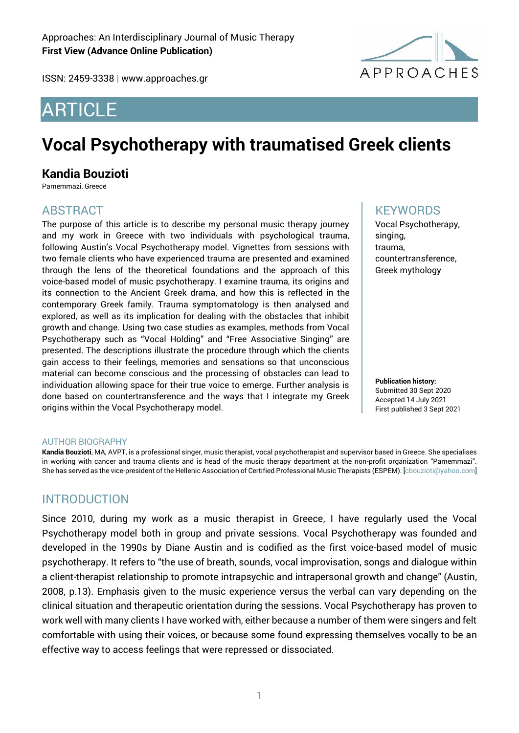ISSN: 2459-3338 | www.approaches.gr

# **APPROACHES**

# ARTICLE

# **Vocal Psychotherapy with traumatised Greek clients**

# **Kandia Bouzioti**

Pamemmazi, Greece

# ABSTRACT

The purpose of this article is to describe my personal music therapy journey and my work in Greece with two individuals with psychological trauma, following Austin's Vocal Psychotherapy model. Vignettes from sessions with two female clients who have experienced trauma are presented and examined through the lens of the theoretical foundations and the approach of this voice-based model of music psychotherapy. I examine trauma, its origins and its connection to the Ancient Greek drama, and how this is reflected in the contemporary Greek family. Trauma symptomatology is then analysed and explored, as well as its implication for dealing with the obstacles that inhibit growth and change. Using two case studies as examples, methods from Vocal Psychotherapy such as "Vocal Holding" and "Free Associative Singing" are presented. The descriptions illustrate the procedure through which the clients gain access to their feelings, memories and sensations so that unconscious material can become conscious and the processing of obstacles can lead to individuation allowing space for their true voice to emerge. Further analysis is done based on countertransference and the ways that I integrate my Greek origins within the Vocal Psychotherapy model.

# **KFYWORDS**

Vocal Psychotherapy, singing, trauma, countertransference, Greek mythology

**Publication history:**  Submitted 30 Sept 2020 Accepted 14 July 2021 First published 3 Sept 2021

#### AUTHOR BIOGRAPHY

**Kandia Bouzioti**, MA, AVPT, is a professional singer, music therapist, vocal psychotherapist and supervisor based in Greece. She specialises in working with cancer and trauma clients and is head of the music therapy department at the non-profit organization "Pamemmazi". She has served as the vice-president of the Hellenic Association of Certified Professional Music Therapists (ESPEM). [cbouzioti@yahoo.com]

# **INTRODUCTION**

Since 2010, during my work as a music therapist in Greece, I have regularly used the Vocal Psychotherapy model both in group and private sessions. Vocal Psychotherapy was founded and developed in the 1990s by Diane Austin and is codified as the first voice-based model of music psychotherapy. It refers to "the use of breath, sounds, vocal improvisation, songs and dialogue within a client-therapist relationship to promote intrapsychic and intrapersonal growth and change" (Austin, 2008, p.13). Emphasis given to the music experience versus the verbal can vary depending on the clinical situation and therapeutic orientation during the sessions. Vocal Psychotherapy has proven to work well with many clients I have worked with, either because a number of them were singers and felt comfortable with using their voices, or because some found expressing themselves vocally to be an effective way to access feelings that were repressed or dissociated.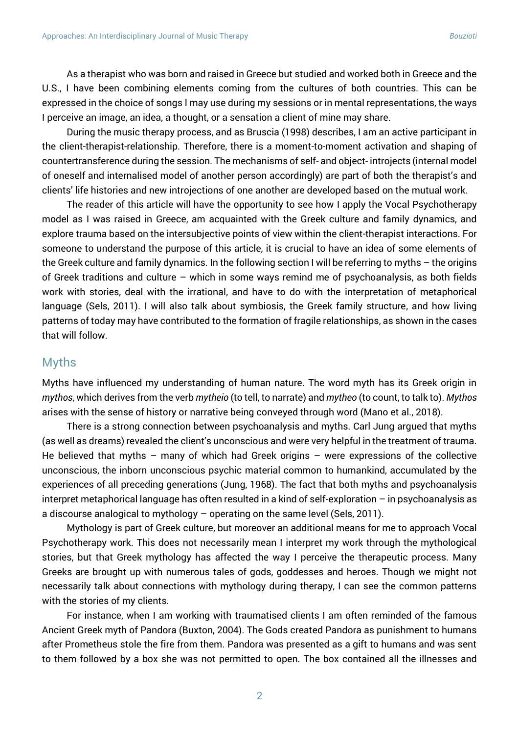As a therapist who was born and raised in Greece but studied and worked both in Greece and the U.S., I have been combining elements coming from the cultures of both countries. This can be expressed in the choice of songs Ι may use during my sessions or in mental representations, the ways I perceive an image, an idea, a thought, or a sensation a client of mine may share.

During the music therapy process, and as Bruscia (1998) describes, I am an active participant in the client-therapist-relationship. Therefore, there is a moment-to-moment activation and shaping of countertransference during the session. The mechanisms of self- and object- introjects (internal model of oneself and internalised model of another person accordingly) are part of both the therapist's and clients' life histories and new introjections of one another are developed based on the mutual work.

The reader of this article will have the opportunity to see how I apply the Vocal Psychotherapy model as I was raised in Greece, am acquainted with the Greek culture and family dynamics, and explore trauma based on the intersubjective points of view within the client-therapist interactions. For someone to understand the purpose of this article, it is crucial to have an idea of some elements of the Greek culture and family dynamics. In the following section I will be referring to myths – the origins of Greek traditions and culture – which in some ways remind me of psychoanalysis, as both fields work with stories, deal with the irrational, and have to do with the interpretation of metaphorical language (Sels, 2011). I will also talk about symbiosis, the Greek family structure, and how living patterns of today may have contributed to the formation of fragile relationships, as shown in the cases that will follow.

#### Myths

Myths have influenced my understanding of human nature. The word myth has its Greek origin in *mythos*, which derives from the verb *mytheio* (to tell, to narrate) and *mytheo* (to count, to talk to). *Mythos*  arises with the sense of history or narrative being conveyed through word (Mano et al., 2018).

There is a strong connection between psychoanalysis and myths. Carl Jung argued that myths (as well as dreams) revealed the client's unconscious and were very helpful in the treatment of trauma. He believed that myths – many of which had Greek origins – were expressions of the collective unconscious, the inborn unconscious psychic material common to humankind, accumulated by the experiences of all preceding generations (Jung, 1968). The fact that both myths and psychoanalysis interpret metaphorical language has often resulted in a kind of self-exploration – in psychoanalysis as a discourse analogical to mythology – operating on the same level (Sels, 2011).

Mythology is part of Greek culture, but moreover an additional means for me to approach Vocal Psychotherapy work. This does not necessarily mean I interpret my work through the mythological stories, but that Greek mythology has affected the way I perceive the therapeutic process. Many Greeks are brought up with numerous tales of gods, goddesses and heroes. Though we might not necessarily talk about connections with mythology during therapy, I can see the common patterns with the stories of my clients.

For instance, when I am working with traumatised clients I am often reminded of the famous Ancient Greek myth of Pandora (Buxton, 2004). The Gods created Pandora as punishment to humans after Prometheus stole the fire from them. Pandora was presented as a gift to humans and was sent to them followed by a box she was not permitted to open. The box contained all the illnesses and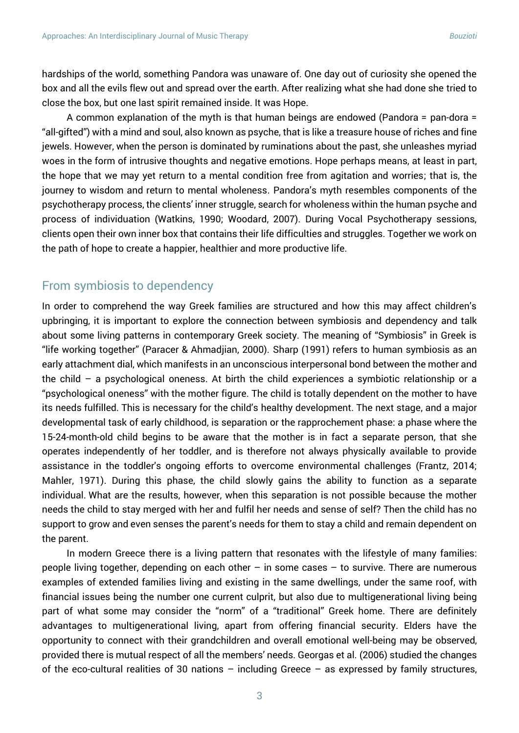hardships of the world, something Pandora was unaware of. One day out of curiosity she opened the box and all the evils flew out and spread over the earth. After realizing what she had done she tried to close the box, but one last spirit remained inside. It was Hope.

A common explanation of the myth is that human beings are endowed (Pandora = pan-dora = "all-gifted") with a mind and soul, also known as psyche, that is like a treasure house of riches and fine jewels. However, when the person is dominated by ruminations about the past, she unleashes myriad woes in the form of intrusive thoughts and negative emotions. Hope perhaps means, at least in part, the hope that we may yet return to a mental condition free from agitation and worries; that is, the journey to wisdom and return to mental wholeness. Pandora's myth resembles components of the psychotherapy process, the clients' inner struggle, search for wholeness within the human psyche and process of individuation (Watkins, 1990; Woodard, 2007). During Vocal Psychotherapy sessions, clients open their own inner box that contains their life difficulties and struggles. Together we work on the path of hope to create a happier, healthier and more productive life.

## From symbiosis to dependency

In order to comprehend the way Greek families are structured and how this may affect children's upbringing, it is important to explore the connection between symbiosis and dependency and talk about some living patterns in contemporary Greek society. The meaning of "Symbiosis" in Greek is "life working together" (Paracer & Ahmadjian, 2000). Sharp (1991) refers to human symbiosis as an early attachment dial, which manifests in an unconscious interpersonal bond between the mother and the child – a psychological oneness. At birth the child experiences a symbiotic relationship or a "psychological oneness" with the mother figure. The child is totally dependent on the mother to have its needs fulfilled. This is necessary for the child's healthy development. The next stage, and a major developmental task of early childhood, is separation or the rapprochement phase: a phase where the 15-24-month-old child begins to be aware that the mother is in fact a separate person, that she operates independently of her toddler, and is therefore not always physically available to provide assistance in the toddler's ongoing efforts to overcome environmental challenges (Frantz, 2014; Mahler, 1971). During this phase, the child slowly gains the ability to function as a separate individual. What are the results, however, when this separation is not possible because the mother needs the child to stay merged with her and fulfil her needs and sense of self? Then the child has no support to grow and even senses the parent's needs for them to stay a child and remain dependent on the parent.

In modern Greece there is a living pattern that resonates with the lifestyle of many families: people living together, depending on each other  $-$  in some cases  $-$  to survive. There are numerous examples of extended families living and existing in the same dwellings, under the same roof, with financial issues being the number one current culprit, but also due to multigenerational living being part of what some may consider the "norm" of a "traditional" Greek home. There are definitely advantages to multigenerational living, apart from offering financial security. Elders have the opportunity to connect with their grandchildren and overall emotional well-being may be observed, provided there is mutual respect of all the members' needs. Georgas et al. (2006) studied the changes of the eco-cultural realities of 30 nations – including Greece – as expressed by family structures,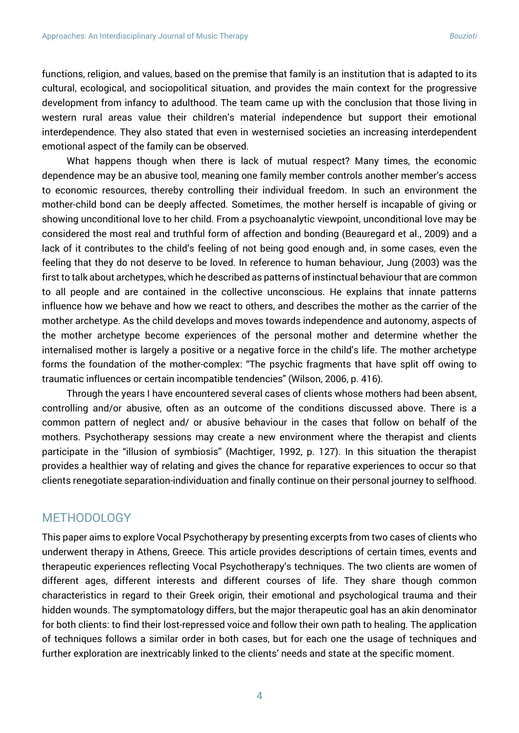functions, religion, and values, based on the premise that family is an institution that is adapted to its cultural, ecological, and sociopolitical situation, and provides the main context for the progressive development from infancy to adulthood. The team came up with the conclusion that those living in western rural areas value their children's material independence but support their emotional interdependence. They also stated that even in westernised societies an increasing interdependent emotional aspect of the family can be observed.

What happens though when there is lack of mutual respect? Many times, the economic dependence may be an abusive tool, meaning one family member controls another member's access to economic resources, thereby controlling their individual freedom. In such an environment the mother-child bond can be deeply affected. Sometimes, the mother herself is incapable of giving or showing unconditional love to her child. From a psychoanalytic viewpoint, unconditional love may be considered the most real and truthful form of affection and bonding (Beauregard et al., 2009) and a lack of it contributes to the child's feeling of not being good enough and, in some cases, even the feeling that they do not deserve to be loved. In reference to human behaviour, Jung (2003) was the first to talk about archetypes, which he described as patterns of instinctual behaviour that are common to all people and are contained in the collective unconscious. He explains that innate patterns influence how we behave and how we react to others, and describes the mother as the carrier of the mother archetype. As the child develops and moves towards independence and autonomy, aspects of the mother archetype become experiences of the personal mother and determine whether the internalised mother is largely a positive or a negative force in the child's life. The mother archetype forms the foundation of the mother-complex: "The psychic fragments that have split off owing to traumatic influences or certain incompatible tendencies" (Wilson, 2006, p. 416).

Through the years I have encountered several cases of clients whose mothers had been absent, controlling and/or abusive, often as an outcome of the conditions discussed above. There is a common pattern of neglect and/ or abusive behaviour in the cases that follow on behalf of the mothers. Psychotherapy sessions may create a new environment where the therapist and clients participate in the "illusion of symbiosis" (Machtiger, 1992, p. 127). In this situation the therapist provides a healthier way of relating and gives the chance for reparative experiences to occur so that clients renegotiate separation-individuation and finally continue on their personal journey to selfhood.

#### METHODOLOGY

This paper aims to explore Vocal Psychotherapy by presenting excerpts from two cases of clients who underwent therapy in Athens, Greece. This article provides descriptions of certain times, events and therapeutic experiences reflecting Vocal Psychotherapy's techniques. The two clients are women of different ages, different interests and different courses of life. They share though common characteristics in regard to their Greek origin, their emotional and psychological trauma and their hidden wounds. The symptomatology differs, but the major therapeutic goal has an akin denominator for both clients: to find their lost-repressed voice and follow their own path to healing. The application of techniques follows a similar order in both cases, but for each one the usage of techniques and further exploration are inextricably linked to the clients' needs and state at the specific moment.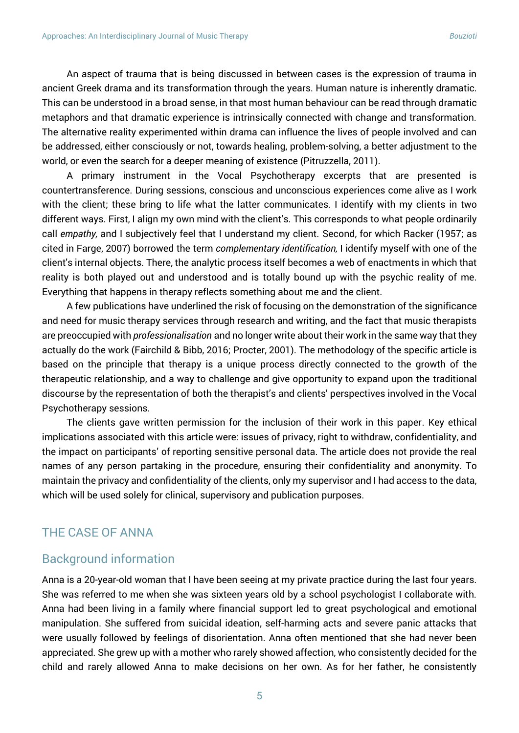An aspect of trauma that is being discussed in between cases is the expression of trauma in ancient Greek drama and its transformation through the years. Human nature is inherently dramatic. This can be understood in a broad sense, in that most human behaviour can be read through dramatic metaphors and that dramatic experience is intrinsically connected with change and transformation. The alternative reality experimented within drama can influence the lives of people involved and can be addressed, either consciously or not, towards healing, problem-solving, a better adjustment to the world, or even the search for a deeper meaning of existence (Pitruzzella, 2011).

A primary instrument in the Vocal Psychotherapy excerpts that are presented is countertransference. During sessions, conscious and unconscious experiences come alive as I work with the client; these bring to life what the latter communicates. I identify with my clients in two different ways. First, I align my own mind with the client's. This corresponds to what people ordinarily call *empathy,* and I subjectively feel that I understand my client. Second, for which Racker (1957; as cited in Farge, 2007) borrowed the term *complementary identification,* I identify myself with one of the client's internal objects. There, the analytic process itself becomes a web of enactments in which that reality is both played out and understood and is totally bound up with the psychic reality of me. Everything that happens in therapy reflects something about me and the client.

A few publications have underlined the risk of focusing on the demonstration of the significance and need for music therapy services through research and writing, and the fact that music therapists are preoccupied with *professionalisation* and no longer write about their work in the same way that they actually do the work (Fairchild & Bibb, 2016; Procter, 2001). The methodology of the specific article is based on the principle that therapy is a unique process directly connected to the growth of the therapeutic relationship, and a way to challenge and give opportunity to expand upon the traditional discourse by the representation of both the therapist's and clients' perspectives involved in the Vocal Psychotherapy sessions.

The clients gave written permission for the inclusion of their work in this paper. Key ethical implications associated with this article were: issues of privacy, right to withdraw, confidentiality, and the impact on participants' of reporting sensitive personal data. The article does not provide the real names of any person partaking in the procedure, ensuring their confidentiality and anonymity. To maintain the privacy and confidentiality of the clients, only my supervisor and I had access to the data, which will be used solely for clinical, supervisory and publication purposes.

#### THE CASE OF ANNA

#### Background information

Anna is a 20-year-old woman that I have been seeing at my private practice during the last four years. She was referred to me when she was sixteen years old by a school psychologist I collaborate with. Anna had been living in a family where financial support led to great psychological and emotional manipulation. She suffered from suicidal ideation, self-harming acts and severe panic attacks that were usually followed by feelings of disorientation. Anna often mentioned that she had never been appreciated. She grew up with a mother who rarely showed affection, who consistently decided for the child and rarely allowed Anna to make decisions on her own. As for her father, he consistently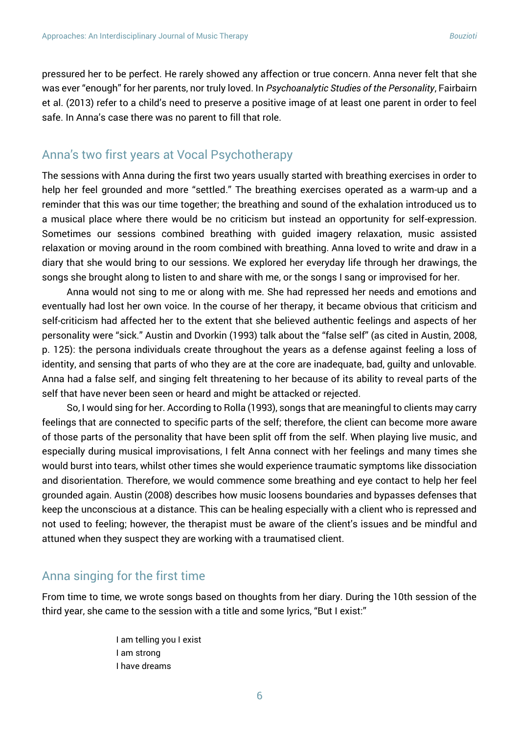pressured her to be perfect. He rarely showed any affection or true concern. Anna never felt that she was ever "enough" for her parents, nor truly loved. In *Psychoanalytic Studies of the Personality*, Fairbairn et al. (2013) refer to a child's need to preserve a positive image of at least one parent in order to feel safe. In Anna's case there was no parent to fill that role.

#### Anna's two first years at Vocal Psychotherapy

The sessions with Anna during the first two years usually started with breathing exercises in order to help her feel grounded and more "settled." The breathing exercises operated as a warm-up and a reminder that this was our time together; the breathing and sound of the exhalation introduced us to a musical place where there would be no criticism but instead an opportunity for self-expression. Sometimes our sessions combined breathing with guided imagery relaxation, music assisted relaxation or moving around in the room combined with breathing. Anna loved to write and draw in a diary that she would bring to our sessions. We explored her everyday life through her drawings, the songs she brought along to listen to and share with me, or the songs I sang or improvised for her.

Anna would not sing to me or along with me. She had repressed her needs and emotions and eventually had lost her own voice. In the course of her therapy, it became obvious that criticism and self-criticism had affected her to the extent that she believed authentic feelings and aspects of her personality were "sick." Austin and Dvorkin (1993) talk about the "false self" (as cited in Austin, 2008, p. 125): the persona individuals create throughout the years as a defense against feeling a loss of identity, and sensing that parts of who they are at the core are inadequate, bad, guilty and unlovable. Anna had a false self, and singing felt threatening to her because of its ability to reveal parts of the self that have never been seen or heard and might be attacked or rejected.

So, I would sing for her. According to Rolla (1993), songs that are meaningful to clients may carry feelings that are connected to specific parts of the self; therefore, the client can become more aware of those parts of the personality that have been split off from the self. When playing live music, and especially during musical improvisations, I felt Anna connect with her feelings and many times she would burst into tears, whilst other times she would experience traumatic symptoms like dissociation and disorientation. Therefore, we would commence some breathing and eye contact to help her feel grounded again. Austin (2008) describes how music loosens boundaries and bypasses defenses that keep the unconscious at a distance. This can be healing especially with a client who is repressed and not used to feeling; however, the therapist must be aware of the client's issues and be mindful and attuned when they suspect they are working with a traumatised client.

#### Anna singing for the first time

From time to time, we wrote songs based on thoughts from her diary. During the 10th session of the third year, she came to the session with a title and some lyrics, "But I exist:"

> I am telling you I exist I am strong I have dreams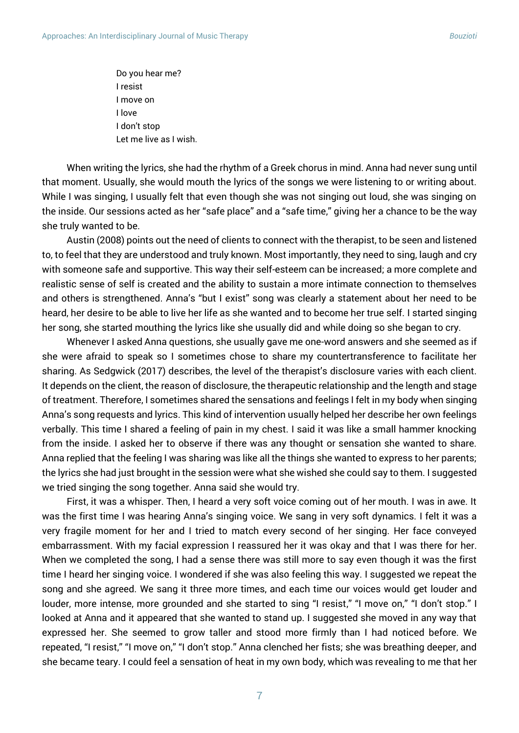Do you hear me? I resist I move on I love I don't stop Let me live as I wish.

When writing the lyrics, she had the rhythm of a Greek chorus in mind. Anna had never sung until that moment. Usually, she would mouth the lyrics of the songs we were listening to or writing about. While I was singing, I usually felt that even though she was not singing out loud, she was singing on the inside. Our sessions acted as her "safe place" and a "safe time," giving her a chance to be the way she truly wanted to be.

Austin (2008) points out the need of clients to connect with the therapist, to be seen and listened to, to feel that they are understood and truly known. Most importantly, they need to sing, laugh and cry with someone safe and supportive. This way their self-esteem can be increased; a more complete and realistic sense of self is created and the ability to sustain a more intimate connection to themselves and others is strengthened. Anna's "but I exist" song was clearly a statement about her need to be heard, her desire to be able to live her life as she wanted and to become her true self. I started singing her song, she started mouthing the lyrics like she usually did and while doing so she began to cry.

Whenever I asked Anna questions, she usually gave me one-word answers and she seemed as if she were afraid to speak so I sometimes chose to share my countertransference to facilitate her sharing. As Sedgwick (2017) describes, the level of the therapist's disclosure varies with each client. It depends on the client, the reason of disclosure, the therapeutic relationship and the length and stage of treatment. Therefore, I sometimes shared the sensations and feelings I felt in my body when singing Anna's song requests and lyrics. This kind of intervention usually helped her describe her own feelings verbally. This time I shared a feeling of pain in my chest. I said it was like a small hammer knocking from the inside. I asked her to observe if there was any thought or sensation she wanted to share. Anna replied that the feeling I was sharing was like all the things she wanted to express to her parents; the lyrics she had just brought in the session were what she wished she could say to them. I suggested we tried singing the song together. Anna said she would try.

First, it was a whisper. Then, I heard a very soft voice coming out of her mouth. I was in awe. It was the first time I was hearing Anna's singing voice. We sang in very soft dynamics. I felt it was a very fragile moment for her and I tried to match every second of her singing. Her face conveyed embarrassment. With my facial expression I reassured her it was okay and that I was there for her. When we completed the song, I had a sense there was still more to say even though it was the first time I heard her singing voice. I wondered if she was also feeling this way. I suggested we repeat the song and she agreed. We sang it three more times, and each time our voices would get louder and louder, more intense, more grounded and she started to sing "I resist," "I move on," "I don't stop." I looked at Anna and it appeared that she wanted to stand up. I suggested she moved in any way that expressed her. She seemed to grow taller and stood more firmly than I had noticed before. We repeated, "I resist," "I move on," "I don't stop." Anna clenched her fists; she was breathing deeper, and she became teary. I could feel a sensation of heat in my own body, which was revealing to me that her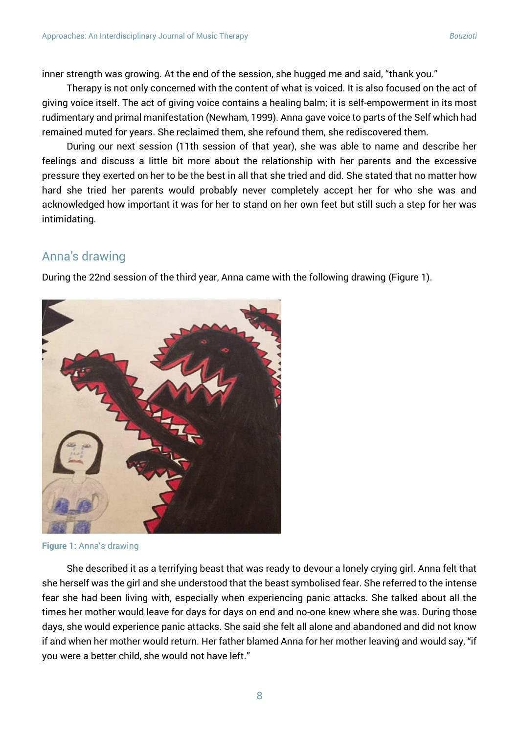inner strength was growing. At the end of the session, she hugged me and said, "thank you."

Therapy is not only concerned with the content of what is voiced. It is also focused on the act of giving voice itself. The act of giving voice contains a healing balm; it is self-empowerment in its most rudimentary and primal manifestation (Newham, 1999). Anna gave voice to parts of the Self which had remained muted for years. She reclaimed them, she refound them, she rediscovered them.

During our next session (11th session of that year), she was able to name and describe her feelings and discuss a little bit more about the relationship with her parents and the excessive pressure they exerted on her to be the best in all that she tried and did. She stated that no matter how hard she tried her parents would probably never completely accept her for who she was and acknowledged how important it was for her to stand on her own feet but still such a step for her was intimidating.

## Anna's drawing

During the 22nd session of the third year, Anna came with the following drawing (Figure 1).



**Figure 1:** Anna's drawing

She described it as a terrifying beast that was ready to devour a lonely crying girl. Anna felt that she herself was the girl and she understood that the beast symbolised fear. She referred to the intense fear she had been living with, especially when experiencing panic attacks. She talked about all the times her mother would leave for days for days on end and no-one knew where she was. During those days, she would experience panic attacks. She said she felt all alone and abandoned and did not know if and when her mother would return. Her father blamed Anna for her mother leaving and would say, "if you were a better child, she would not have left."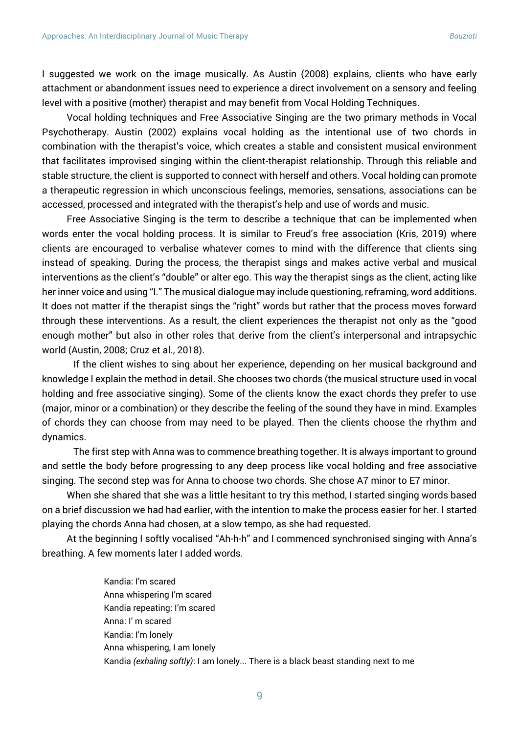I suggested we work on the image musically. As Austin (2008) explains, clients who have early attachment or abandonment issues need to experience a direct involvement on a sensory and feeling level with a positive (mother) therapist and may benefit from Vocal Holding Techniques.

Vocal holding techniques and Free Associative Singing are the two primary methods in Vocal Psychotherapy. Austin (2002) explains vocal holding as the intentional use of two chords in combination with the therapist's voice, which creates a stable and consistent musical environment that facilitates improvised singing within the client-therapist relationship. Through this reliable and stable structure, the client is supported to connect with herself and others. Vocal holding can promote a therapeutic regression in which unconscious feelings, memories, sensations, associations can be accessed, processed and integrated with the therapist's help and use of words and music.

Free Associative Singing is the term to describe a technique that can be implemented when words enter the vocal holding process. It is similar to Freud's free association (Kris, 2019) where clients are encouraged to verbalise whatever comes to mind with the difference that clients sing instead of speaking. During the process, the therapist sings and makes active verbal and musical interventions as the client's "double" or alter ego. This way the therapist sings as the client, acting like her inner voice and using "I." The musical dialogue may include questioning, reframing, word additions. It does not matter if the therapist sings the "right" words but rather that the process moves forward through these interventions. As a result, the client experiences the therapist not only as the "good enough mother" but also in other roles that derive from the client's interpersonal and intrapsychic world (Austin, 2008; Cruz et al., 2018).

If the client wishes to sing about her experience, depending on her musical background and knowledge I explain the method in detail. She chooses two chords (the musical structure used in vocal holding and free associative singing). Some of the clients know the exact chords they prefer to use (major, minor or a combination) or they describe the feeling of the sound they have in mind. Examples of chords they can choose from may need to be played. Then the clients choose the rhythm and dynamics.

The first step with Anna was to commence breathing together. It is always important to ground and settle the body before progressing to any deep process like vocal holding and free associative singing. The second step was for Anna to choose two chords. She chose A7 minor to E7 minor.

When she shared that she was a little hesitant to try this method, I started singing words based on a brief discussion we had had earlier, with the intention to make the process easier for her. I started playing the chords Anna had chosen, at a slow tempo, as she had requested.

At the beginning I softly vocalised "Ah-h-h" and I commenced synchronised singing with Anna's breathing. A few moments later I added words.

> Kandia: I'm scared Anna whispering I'm scared Kandia repeating: I'm scared Anna: I' m scared Kandia: I'm lonely Anna whispering, I am lonely Kandia *(exhaling softly)*: I am lonely... There is a black beast standing next to me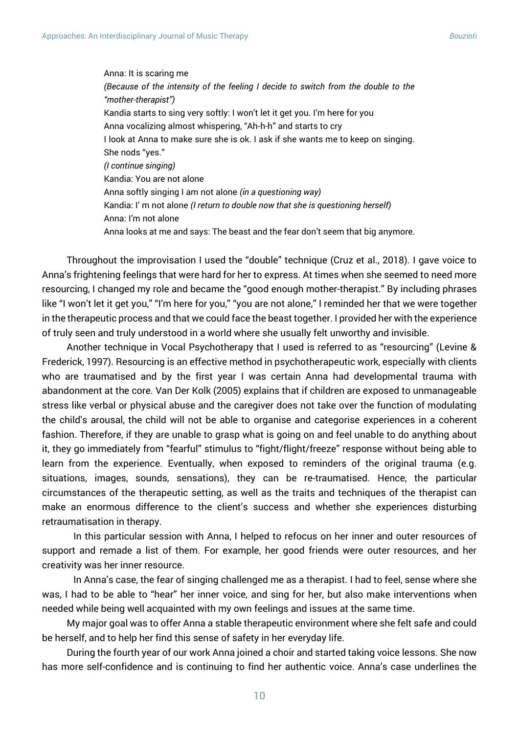Anna: It is scaring me *(Because of the intensity of the feeling I decide to switch from the double to the "mother-therapist")* Kandia starts to sing very softly: I won't let it get you. I'm here for you Anna vocalizing almost whispering, "Ah-h-h" and starts to cry I look at Anna to make sure she is ok. I ask if she wants me to keep on singing. She nods "yes." *(I continue singing)* Kandia: You are not alone Anna softly singing I am not alone *(in a questioning way)* Kandia: I' m not alone *(I return to double now that she is questioning herself)* Anna: I'm not alone Anna looks at me and says: The beast and the fear don't seem that big anymore.

Throughout the improvisation I used the "double" technique (Cruz et al., 2018). I gave voice to Anna's frightening feelings that were hard for her to express. At times when she seemed to need more resourcing, I changed my role and became the "good enough mother-therapist." By including phrases like "I won't let it get you," "I'm here for you," "you are not alone," I reminded her that we were together in the therapeutic process and that we could face the beast together. I provided her with the experience of truly seen and truly understood in a world where she usually felt unworthy and invisible.

Another technique in Vocal Psychotherapy that I used is referred to as "resourcing" (Levine & Frederick, 1997). Resourcing is an effective method in psychotherapeutic work, especially with clients who are traumatised and by the first year I was certain Anna had developmental trauma with abandonment at the core. Van Der Kolk (2005) explains that if children are exposed to unmanageable stress like verbal or physical abuse and the caregiver does not take over the function of modulating the child's arousal, the child will not be able to organise and categorise experiences in a coherent fashion. Therefore, if they are unable to grasp what is going on and feel unable to do anything about it, they go immediately from "fearful" stimulus to "fight/flight/freeze" response without being able to learn from the experience. Eventually, when exposed to reminders of the original trauma (e.g. situations, images, sounds, sensations), they can be re-traumatised. Hence, the particular circumstances of the therapeutic setting, as well as the traits and techniques of the therapist can make an enormous difference to the client's success and whether she experiences disturbing retraumatisation in therapy.

In this particular session with Anna, I helped to refocus on her inner and outer resources of support and remade a list of them. For example, her good friends were outer resources, and her creativity was her inner resource.

In Anna's case, the fear of singing challenged me as a therapist. I had to feel, sense where she was, I had to be able to "hear" her inner voice, and sing for her, but also make interventions when needed while being well acquainted with my own feelings and issues at the same time.

My major goal was to offer Anna a stable therapeutic environment where she felt safe and could be herself, and to help her find this sense of safety in her everyday life.

During the fourth year of our work Anna joined a choir and started taking voice lessons. She now has more self-confidence and is continuing to find her authentic voice. Anna's case underlines the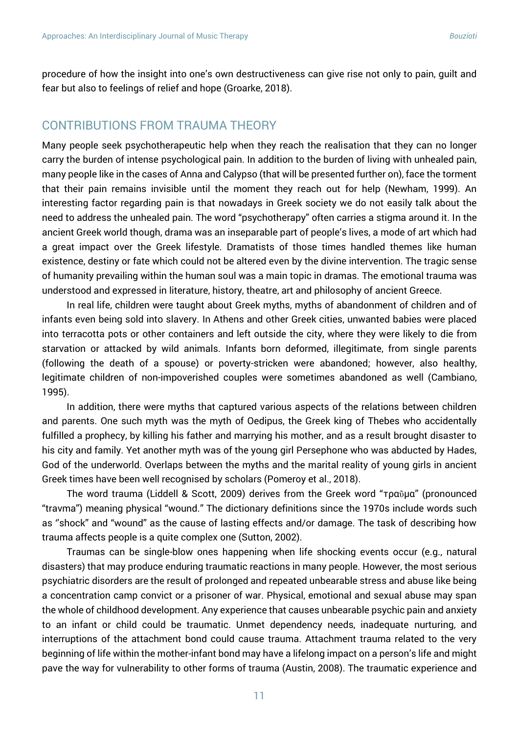procedure of how the insight into one's own destructiveness can give rise not only to pain, guilt and fear but also to feelings of relief and hope (Groarke, 2018).

#### CONTRIBUTIONS FROM TRAUMA THEORY

Many people seek psychotherapeutic help when they reach the realisation that they can no longer carry the burden of intense psychological pain. In addition to the burden of living with unhealed pain, many people like in the cases of Anna and Calypso (that will be presented further on), face the torment that their pain remains invisible until the moment they reach out for help (Newham, 1999). An interesting factor regarding pain is that nowadays in Greek society we do not easily talk about the need to address the unhealed pain. The word "psychotherapy" often carries a stigma around it. In the ancient Greek world though, drama was an inseparable part of people's lives, a mode of art which had a great impact over the Greek lifestyle. Dramatists of those times handled themes like human existence, destiny or fate which could not be altered even by the divine intervention. The tragic sense of humanity prevailing within the human soul was a main topic in dramas. The emotional trauma was understood and expressed in literature, history, theatre, art and philosophy of ancient Greece.

In real life, children were taught about Greek myths, myths of abandonment of children and of infants even being sold into slavery. In Athens and other Greek cities, unwanted babies were placed into terracotta pots or other containers and left outside the city, where they were likely to die from starvation or attacked by wild animals. Infants born deformed, illegitimate, from single parents (following the death of a spouse) or poverty-stricken were abandoned; however, also healthy, legitimate children of non-impoverished couples were sometimes abandoned as well (Cambiano, 1995).

In addition, there were myths that captured various aspects of the relations between children and parents. One such myth was the myth of Oedipus, the Greek king of Thebes who accidentally fulfilled a prophecy, by killing his father and marrying his mother, and as a result brought disaster to his city and family. Yet another myth was of the young girl Persephone who was abducted by Hades, God of the underworld. Overlaps between the myths and the marital reality of young girls in ancient Greek times have been well recognised by scholars (Pomeroy et al., 2018).

The word trauma (Liddell & Scott, 2009) derives from the Greek word "τραῦμα" (pronounced "travma") meaning physical "wound." The dictionary definitions since the 1970s include words such as ''shock" and "wound" as the cause of lasting effects and/or damage. The task of describing how trauma affects people is a quite complex one (Sutton, 2002).

Traumas can be single-blow ones happening when life shocking events occur (e.g., natural disasters) that may produce enduring traumatic reactions in many people. However, the most serious psychiatric disorders are the result of prolonged and repeated unbearable stress and abuse like being a concentration camp convict or a prisoner of war. Physical, emotional and sexual abuse may span the whole of childhood development. Any experience that causes unbearable psychic pain and anxiety to an infant or child could be traumatic. Unmet dependency needs, inadequate nurturing, and interruptions of the attachment bond could cause trauma. Attachment trauma related to the very beginning of life within the mother-infant bond may have a lifelong impact on a person's life and might pave the way for vulnerability to other forms of trauma (Austin, 2008). The traumatic experience and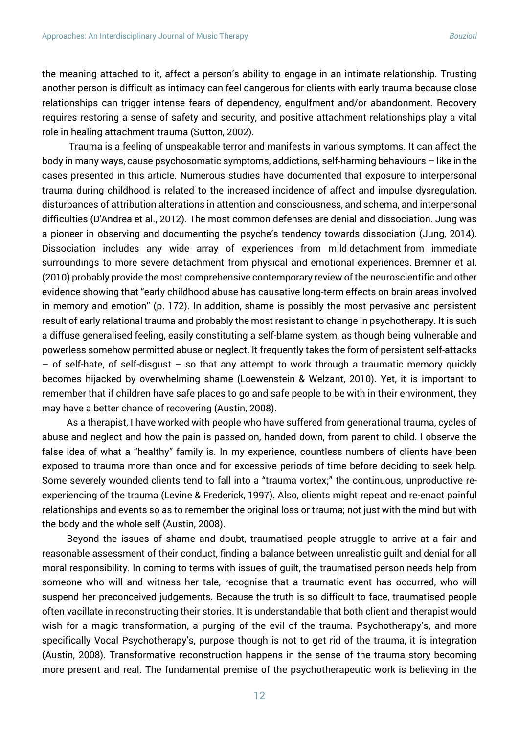the meaning attached to it, affect a person's ability to engage in an intimate relationship. Trusting another person is difficult as intimacy can feel dangerous for clients with early trauma because close relationships can trigger intense fears of dependency, engulfment and/or abandonment. Recovery requires restoring a sense of safety and security, and positive attachment relationships play a vital role in healing attachment trauma (Sutton, 2002).

Trauma is a feeling of unspeakable terror and manifests in various symptoms. It can affect the body in many ways, cause psychosomatic symptoms, addictions, self-harming behaviours – like in the cases presented in this article. Numerous studies have documented that exposure to interpersonal trauma during childhood is related to the increased incidence of affect and impulse dysregulation, disturbances of attribution alterations in attention and consciousness, and schema, and interpersonal difficulties (D'Andrea et al., 2012). The most common defenses are denial and dissociation. Jung was a pioneer in observing and documenting the psyche's tendency towards dissociation (Jung, 2014). Dissociation includes any wide array of experiences from mild detachment from immediate surroundings to more severe detachment from physical and emotional experiences. Bremner et al. (2010) probably provide the most comprehensive contemporary review of the neuroscientific and other evidence showing that "early childhood abuse has causative long-term effects on brain areas involved in memory and emotion" (p. 172). In addition, shame is possibly the most pervasive and persistent result of early relational trauma and probably the most resistant to change in psychotherapy. It is such a diffuse generalised feeling, easily constituting a self-blame system, as though being vulnerable and powerless somehow permitted abuse or neglect. It frequently takes the form of persistent self-attacks  $-$  of self-hate, of self-disgust  $-$  so that any attempt to work through a traumatic memory quickly becomes hijacked by overwhelming shame (Loewenstein & Welzant, 2010). Yet, it is important to remember that if children have safe places to go and safe people to be with in their environment, they may have a better chance of recovering (Austin, 2008).

As a therapist, I have worked with people who have suffered from generational trauma, cycles of abuse and neglect and how the pain is passed on, handed down, from parent to child. I observe the false idea of what a "healthy" family is. In my experience, countless numbers of clients have been exposed to trauma more than once and for excessive periods of time before deciding to seek help. Some severely wounded clients tend to fall into a "trauma vortex;" the continuous, unproductive reexperiencing of the trauma (Levine & Frederick, 1997). Also, clients might repeat and re-enact painful relationships and events so as to remember the original loss or trauma; not just with the mind but with the body and the whole self (Austin, 2008).

Beyond the issues of shame and doubt, traumatised people struggle to arrive at a fair and reasonable assessment of their conduct, finding a balance between unrealistic guilt and denial for all moral responsibility. In coming to terms with issues of guilt, the traumatised person needs help from someone who will and witness her tale, recognise that a traumatic event has occurred, who will suspend her preconceived judgements. Because the truth is so difficult to face, traumatised people often vacillate in reconstructing their stories. It is understandable that both client and therapist would wish for a magic transformation, a purging of the evil of the trauma. Psychotherapy's, and more specifically Vocal Psychotherapy's, purpose though is not to get rid of the trauma, it is integration (Austin, 2008). Transformative reconstruction happens in the sense of the trauma story becoming more present and real. The fundamental premise of the psychotherapeutic work is believing in the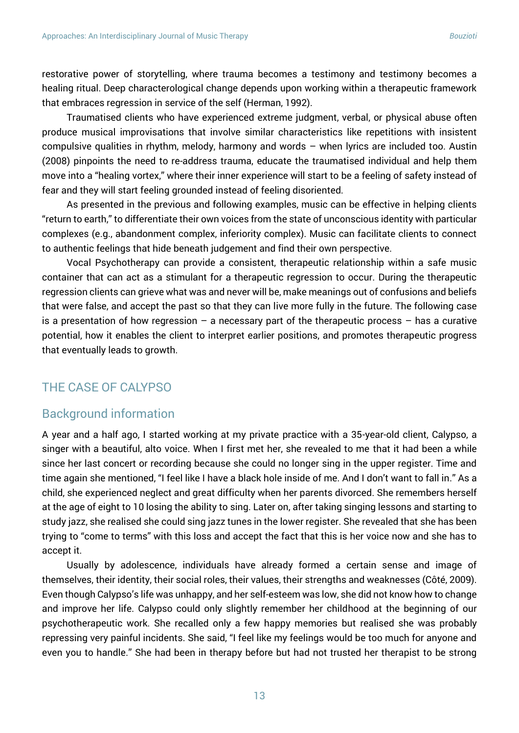restorative power of storytelling, where trauma becomes a testimony and testimony becomes a healing ritual. Deep characterological change depends upon working within a therapeutic framework that embraces regression in service of the self (Herman, 1992).

Traumatised clients who have experienced extreme judgment, verbal, or physical abuse often produce musical improvisations that involve similar characteristics like repetitions with insistent compulsive qualities in rhythm, melody, harmony and words – when lyrics are included too. Austin (2008) pinpoints the need to re-address trauma, educate the traumatised individual and help them move into a "healing vortex," where their inner experience will start to be a feeling of safety instead of fear and they will start feeling grounded instead of feeling disoriented.

As presented in the previous and following examples, music can be effective in helping clients "return to earth," to differentiate their own voices from the state of unconscious identity with particular complexes (e.g., abandonment complex, inferiority complex). Music can facilitate clients to connect to authentic feelings that hide beneath judgement and find their own perspective.

Vocal Psychotherapy can provide a consistent, therapeutic relationship within a safe music container that can act as a stimulant for a therapeutic regression to occur. During the therapeutic regression clients can grieve what was and never will be, make meanings out of confusions and beliefs that were false, and accept the past so that they can live more fully in the future. The following case is a presentation of how regression  $-$  a necessary part of the therapeutic process  $-$  has a curative potential, how it enables the client to interpret earlier positions, and promotes therapeutic progress that eventually leads to growth.

# THE CASE OF CALYPSO

#### Background information

A year and a half ago, I started working at my private practice with a 35-year-old client, Calypso, a singer with a beautiful, alto voice. When I first met her, she revealed to me that it had been a while since her last concert or recording because she could no longer sing in the upper register. Time and time again she mentioned, "I feel like I have a black hole inside of me. And I don't want to fall in." As a child, she experienced neglect and great difficulty when her parents divorced. She remembers herself at the age of eight to 10 losing the ability to sing. Later on, after taking singing lessons and starting to study jazz, she realised she could sing jazz tunes in the lower register. She revealed that she has been trying to "come to terms" with this loss and accept the fact that this is her voice now and she has to accept it.

Usually by adolescence, individuals have already formed a certain sense and image of themselves, their identity, their social roles, their values, their strengths and weaknesses (Côté, 2009). Even though Calypso's life was unhappy, and her self-esteem was low, she did not know how to change and improve her life. Calypso could only slightly remember her childhood at the beginning of our psychotherapeutic work. She recalled only a few happy memories but realised she was probably repressing very painful incidents. She said, "I feel like my feelings would be too much for anyone and even you to handle." She had been in therapy before but had not trusted her therapist to be strong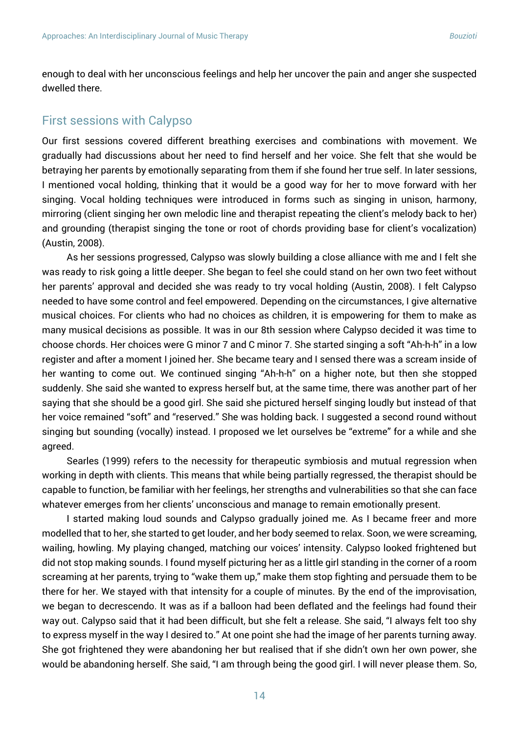enough to deal with her unconscious feelings and help her uncover the pain and anger she suspected dwelled there.

#### First sessions with Calypso

Our first sessions covered different breathing exercises and combinations with movement. We gradually had discussions about her need to find herself and her voice. She felt that she would be betraying her parents by emotionally separating from them if she found her true self. In later sessions, I mentioned vocal holding, thinking that it would be a good way for her to move forward with her singing. Vocal holding techniques were introduced in forms such as singing in unison, harmony, mirroring (client singing her own melodic line and therapist repeating the client's melody back to her) and grounding (therapist singing the tone or root of chords providing base for client's vocalization) (Austin, 2008).

As her sessions progressed, Calypso was slowly building a close alliance with me and I felt she was ready to risk going a little deeper. She began to feel she could stand on her own two feet without her parents' approval and decided she was ready to try vocal holding (Austin, 2008). I felt Calypso needed to have some control and feel empowered. Depending on the circumstances, I give alternative musical choices. For clients who had no choices as children, it is empowering for them to make as many musical decisions as possible. It was in our 8th session where Calypso decided it was time to choose chords. Her choices were G minor 7 and C minor 7. She started singing a soft "Ah-h-h" in a low register and after a moment I joined her. She became teary and I sensed there was a scream inside of her wanting to come out. We continued singing "Ah-h-h" on a higher note, but then she stopped suddenly. She said she wanted to express herself but, at the same time, there was another part of her saying that she should be a good girl. She said she pictured herself singing loudly but instead of that her voice remained "soft" and "reserved." She was holding back. I suggested a second round without singing but sounding (vocally) instead. I proposed we let ourselves be "extreme" for a while and she agreed.

Searles (1999) refers to the necessity for therapeutic symbiosis and mutual regression when working in depth with clients. This means that while being partially regressed, the therapist should be capable to function, be familiar with her feelings, her strengths and vulnerabilities so that she can face whatever emerges from her clients' unconscious and manage to remain emotionally present.

I started making loud sounds and Calypso gradually joined me. As I became freer and more modelled that to her, she started to get louder, and her body seemed to relax. Soon, we were screaming, wailing, howling. My playing changed, matching our voices' intensity. Calypso looked frightened but did not stop making sounds. I found myself picturing her as a little girl standing in the corner of a room screaming at her parents, trying to "wake them up," make them stop fighting and persuade them to be there for her. We stayed with that intensity for a couple of minutes. By the end of the improvisation, we began to decrescendo. It was as if a balloon had been deflated and the feelings had found their way out. Calypso said that it had been difficult, but she felt a release. She said, "I always felt too shy to express myself in the way I desired to." At one point she had the image of her parents turning away. She got frightened they were abandoning her but realised that if she didn't own her own power, she would be abandoning herself. She said, "I am through being the good girl. I will never please them. So,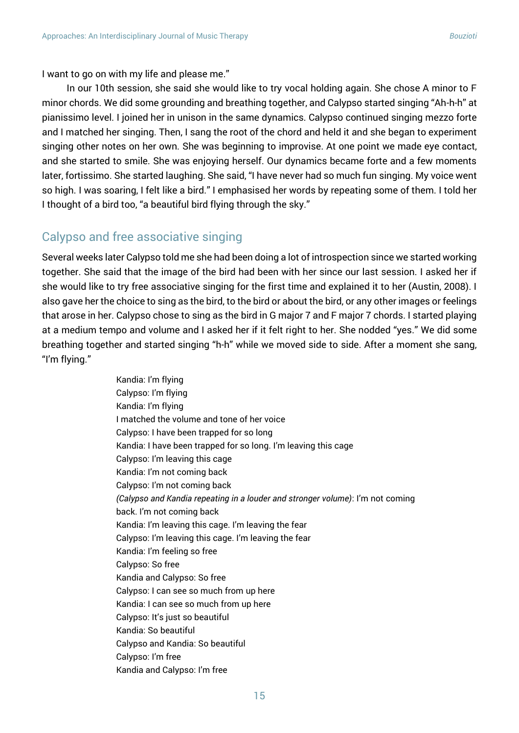I want to go on with my life and please me."

In our 10th session, she said she would like to try vocal holding again. She chose A minor to F minor chords. We did some grounding and breathing together, and Calypso started singing "Ah-h-h" at pianissimo level. I joined her in unison in the same dynamics. Calypso continued singing mezzo forte and I matched her singing. Then, I sang the root of the chord and held it and she began to experiment singing other notes on her own. She was beginning to improvise. At one point we made eye contact, and she started to smile. She was enjoying herself. Our dynamics became forte and a few moments later, fortissimo. She started laughing. She said, "I have never had so much fun singing. My voice went so high. I was soaring, I felt like a bird." I emphasised her words by repeating some of them. I told her I thought of a bird too, "a beautiful bird flying through the sky."

#### Calypso and free associative singing

Several weeks later Calypso told me she had been doing a lot of introspection since we started working together. She said that the image of the bird had been with her since our last session. I asked her if she would like to try free associative singing for the first time and explained it to her (Austin, 2008). I also gave her the choice to sing as the bird, to the bird or about the bird, or any other images or feelings that arose in her. Calypso chose to sing as the bird in G major 7 and F major 7 chords. I started playing at a medium tempo and volume and I asked her if it felt right to her. She nodded "yes." We did some breathing together and started singing "h-h" while we moved side to side. After a moment she sang, "I'm flying."

> Kandia: I'm flying Calypso: I'm flying Kandia: I'm flying I matched the volume and tone of her voice Calypso: I have been trapped for so long Kandia: I have been trapped for so long. I'm leaving this cage Calypso: I'm leaving this cage Kandia: I'm not coming back Calypso: I'm not coming back *(Calypso and Kandia repeating in a louder and stronger volume)*: I'm not coming back. I'm not coming back Kandia: I'm leaving this cage. I'm leaving the fear Calypso: I'm leaving this cage. I'm leaving the fear Kandia: I'm feeling so free Calypso: So free Kandia and Calypso: So free Calypso: I can see so much from up here Kandia: I can see so much from up here Calypso: It's just so beautiful Kandia: So beautiful Calypso and Kandia: So beautiful Calypso: I'm free Kandia and Calypso: I'm free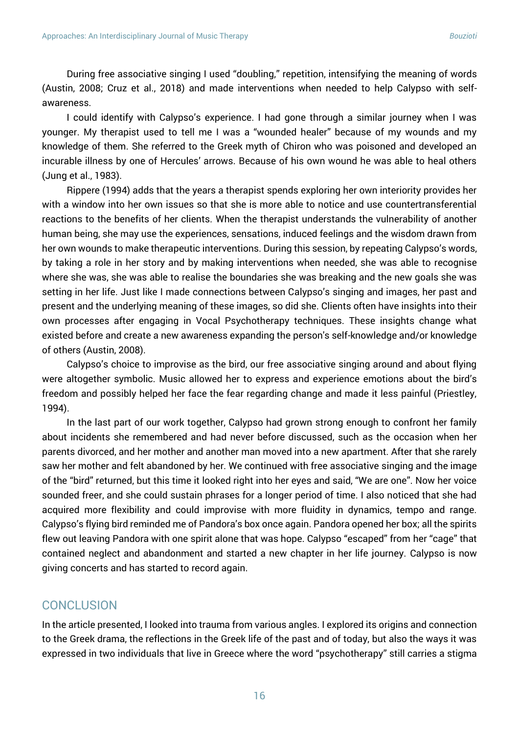During free associative singing I used "doubling," repetition, intensifying the meaning of words (Austin, 2008; Cruz et al., 2018) and made interventions when needed to help Calypso with selfawareness.

I could identify with Calypso's experience. I had gone through a similar journey when I was younger. My therapist used to tell me I was a "wounded healer" because of my wounds and my knowledge of them. She referred to the Greek myth of Chiron who was poisoned and developed an incurable illness by one of Hercules' arrows. Because of his own wound he was able to heal others (Jung et al., 1983).

Rippere (1994) adds that the years a therapist spends exploring her own interiority provides her with a window into her own issues so that she is more able to notice and use countertransferential reactions to the benefits of her clients. When the therapist understands the vulnerability of another human being, she may use the experiences, sensations, induced feelings and the wisdom drawn from her own wounds to make therapeutic interventions. During this session, by repeating Calypso's words, by taking a role in her story and by making interventions when needed, she was able to recognise where she was, she was able to realise the boundaries she was breaking and the new goals she was setting in her life. Just like I made connections between Calypso's singing and images, her past and present and the underlying meaning of these images, so did she. Clients often have insights into their own processes after engaging in Vocal Psychotherapy techniques. These insights change what existed before and create a new awareness expanding the person's self-knowledge and/or knowledge of others (Austin, 2008).

Calypso's choice to improvise as the bird, our free associative singing around and about flying were altogether symbolic. Music allowed her to express and experience emotions about the bird's freedom and possibly helped her face the fear regarding change and made it less painful (Priestley, 1994).

In the last part of our work together, Calypso had grown strong enough to confront her family about incidents she remembered and had never before discussed, such as the occasion when her parents divorced, and her mother and another man moved into a new apartment. After that she rarely saw her mother and felt abandoned by her. We continued with free associative singing and the image of the "bird" returned, but this time it looked right into her eyes and said, "We are one". Now her voice sounded freer, and she could sustain phrases for a longer period of time. I also noticed that she had acquired more flexibility and could improvise with more fluidity in dynamics, tempo and range. Calypso's flying bird reminded me of Pandora's box once again. Pandora opened her box; all the spirits flew out leaving Pandora with one spirit alone that was hope. Calypso "escaped" from her "cage" that contained neglect and abandonment and started a new chapter in her life journey. Calypso is now giving concerts and has started to record again.

#### **CONCLUSION**

In the article presented, I looked into trauma from various angles. I explored its origins and connection to the Greek drama, the reflections in the Greek life of the past and of today, but also the ways it was expressed in two individuals that live in Greece where the word "psychotherapy" still carries a stigma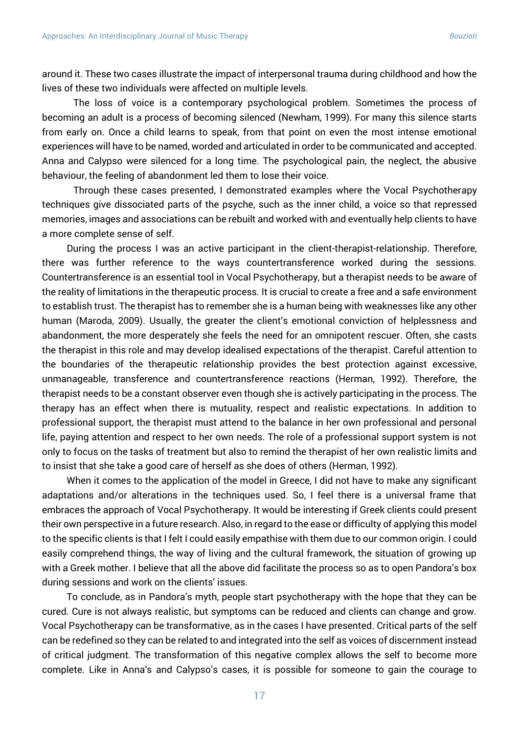around it. These two cases illustrate the impact of interpersonal trauma during childhood and how the lives of these two individuals were affected on multiple levels.

The loss of voice is a contemporary psychological problem. Sometimes the process of becoming an adult is a process of becoming silenced (Newham, 1999). For many this silence starts from early on. Once a child learns to speak, from that point on even the most intense emotional experiences will have to be named, worded and articulated in order to be communicated and accepted. Anna and Calypso were silenced for a long time. The psychological pain, the neglect, the abusive behaviour, the feeling of abandonment led them to lose their voice.

Through these cases presented, I demonstrated examples where the Vocal Psychotherapy techniques give dissociated parts of the psyche, such as the inner child, a voice so that repressed memories, images and associations can be rebuilt and worked with and eventually help clients to have a more complete sense of self.

During the process I was an active participant in the client-therapist-relationship. Therefore, there was further reference to the ways countertransference worked during the sessions. Countertransference is an essential tool in Vocal Psychotherapy, but a therapist needs to be aware of the reality of limitations in the therapeutic process. It is crucial to create a free and a safe environment to establish trust. The therapist has to remember she is a human being with weaknesses like any other human (Maroda, 2009). Usually, the greater the client's emotional conviction of helplessness and abandonment, the more desperately she feels the need for an omnipotent rescuer. Often, she casts the therapist in this role and may develop idealised expectations of the therapist. Careful attention to the boundaries of the therapeutic relationship provides the best protection against excessive, unmanageable, transference and countertransference reactions (Herman, 1992). Therefore, the therapist needs to be a constant observer even though she is actively participating in the process. The therapy has an effect when there is mutuality, respect and realistic expectations. In addition to professional support, the therapist must attend to the balance in her own professional and personal life, paying attention and respect to her own needs. The role of a professional support system is not only to focus on the tasks of treatment but also to remind the therapist of her own realistic limits and to insist that she take a good care of herself as she does of others (Herman, 1992).

When it comes to the application of the model in Greece, I did not have to make any significant adaptations and/or alterations in the techniques used. So, I feel there is a universal frame that embraces the approach of Vocal Psychotherapy. It would be interesting if Greek clients could present their own perspective in a future research. Also, in regard to the ease or difficulty of applying this model to the specific clients is that I felt I could easily empathise with them due to our common origin. I could easily comprehend things, the way of living and the cultural framework, the situation of growing up with a Greek mother. I believe that all the above did facilitate the process so as to open Pandora's box during sessions and work on the clients' issues.

To conclude, as in Pandora's myth, people start psychotherapy with the hope that they can be cured. Cure is not always realistic, but symptoms can be reduced and clients can change and grow. Vocal Psychotherapy can be transformative, as in the cases I have presented. Critical parts of the self can be redefined so they can be related to and integrated into the self as voices of discernment instead of critical judgment. The transformation of this negative complex allows the self to become more complete. Like in Anna's and Calypso's cases, it is possible for someone to gain the courage to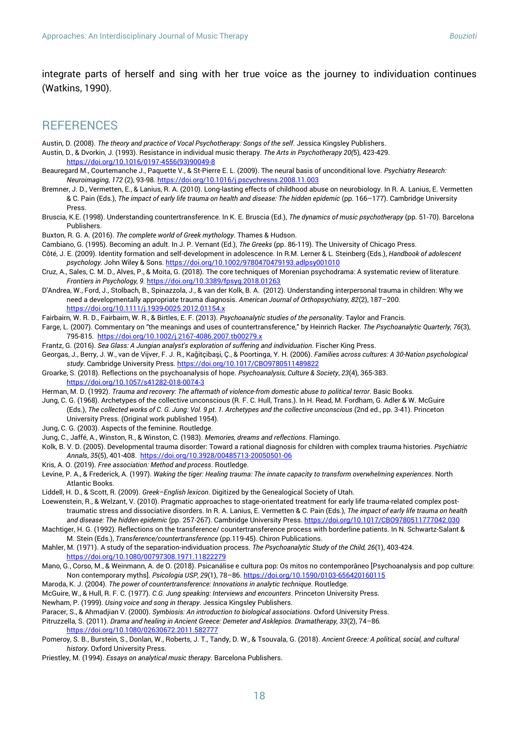integrate parts of herself and sing with her true voice as the journey to individuation continues (Watkins, 1990).

#### **REFERENCES**

- Austin, D. (2008). *The theory and practice of Vocal Psychotherapy: Songs of the self*. Jessica Kingsley Publishers.
- Austin, D., & Dvorkin, J. (1993). Resistance in individual music therapy. *The Arts in Psychotherapy 20(*5), 423-429. [https://doi.org/10.1016/0197-4556\(93\)90049-8](https://doi.org/10.1016/0197-4556(93)90049-8)
- Beauregard M., Courtemanche J., Paquette V., & St-Pierre E. L. (2009). The neural basis of unconditional love. *Psychiatry Research: Neuroimaging*, *172* (2), 93-98[. https://doi.org/10.1016/j.pscychresns.2008.11.003](https://doi.org/10.1016/j.pscychresns.2008.11.003)
- Bremner, J. D., Vermetten, E., & Lanius, R. A. (2010). Long-lasting effects of childhood abuse on neurobiology. In R. A. Lanius, E. Vermetten & C. Pain (Eds.), *The impact of early life trauma on health and disease: The hidden epidemic* (pp. 166–177). Cambridge University Press.
- Bruscia, K.E. (1998). Understanding countertransference. In K. E. Bruscia (Ed.), *The dynamics of music psychotherapy* (pp. 51-70). Barcelona Publishers.
- Buxton, R. G. A. (2016). *The complete world of Greek mythology*. Thames & Hudson.
- Cambiano, G. (1995). Becoming an adult. In J. P. Vernant (Ed.), *The Greeks* (pp. 86-119). The University of Chicago Press.
- Côté, J. E. (2009). Identity formation and self-development in adolescence. In R.M. Lerner & L. Steinberg (Eds.), *Handbook of adolescent psychology.* John Wiley & Sons[. https://doi.org/10.1002/9780470479193.adlpsy001010](https://psycnet.apa.org/doi/10.1002/9780470479193.adlpsy001010)
- Cruz, A., Sales, C. M. D., Alves, P., & Moita, G. (2018). The core techniques of Morenian psychodrama: A systematic review of literature*. Frontiers in Psychology, 9.* <https://doi.org/10.3389/fpsyg.2018.01263>
- D'Andrea, W., Ford, J., Stolbach, B., Spinazzola, J., & van der Kolk, B. A. (2012). Understanding interpersonal trauma in children: Why we need a developmentally appropriate trauma diagnosis. *American Journal of Orthopsychiatry, 82*(2), 187–200. <https://doi.org/10.1111/j.1939-0025.2012.01154.x>
- Fairbairn, W. R. D., Fairbairn, W. R., & Birtles, E. F. (2013). *Psychoanalytic studies of the personality*. Taylor and Francis.
- Farge, L. (2007). Commentary on "the meanings and uses of countertransference," by Heinrich Racker*. The Psychoanalytic Quarterly, 76*(3), 795-815*.* <https://doi.org/10.1002/j.2167-4086.2007.tb00279.x>
- Frantz, G. (2016). *Sea Glass: A Jungian analyst's exploration of suffering and individuation*. Fischer King Press.
- Georgas, J., Berry, J. W., van de Vijver, F. J. R., Kağitçibaşi, Ç., & Poortinga, Y. H. (2006). *Families across cultures: A 30-Nation psychological study*. Cambridge University Press[. https://doi.org/10.1017/CBO9780511489822](https://psycnet.apa.org/doi/10.1017/CBO9780511489822)
- Groarke, S. (2018). Reflections on the psychoanalysis of hope. *Psychoanalysis, Culture & Society*, *23*(4), 365-383. <https://doi.org/10.1057/s41282-018-0074-3>
- Herman, M. D. (1992). *Trauma and recovery: The aftermath of violence-from domestic abuse to political terror*. Basic Books.
- Jung, C. G. (1968). Archetypes of the collective unconscious (R. F. C. Hull, Trans.). In H. Read, M. Fordham, G. Adler & W. McGuire (Eds.), *The collected works of C. G. Jung: Vol. 9 pt. 1. Archetypes and the collective unconscious* (2nd ed., pp. 3-41). Princeton University Press. (Original work published 1954).
- Jung, C. G. (2003). Aspects of the feminine. Routledge.
- Jung, C., Jaffé, A., Winston, R., & Winston, C. (1983). *Memories, dreams and reflections*. Flamingo.
- Kolk, B. V. D. (2005). Developmental trauma disorder: Toward a rational diagnosis for children with complex trauma histories. *Psychiatric Annals*, *35*(5), 401-408. <https://doi.org/10.3928/00485713-20050501-06>
- Kris, A. O. (2019). *Free association: Method and process*. Routledge.
- Levine, P. A., & Frederick, A. (1997). *Waking the tiger: Healing trauma: The innate capacity to transform overwhelming experiences*. North Atlantic Books.
- Liddell, H. D., & Scott, R. (2009). *Greek–English lexicon*. Digitized by the Genealogical Society of Utah.
- Loewenstein, R., & Welzant, V. (2010). Pragmatic approaches to stage-orientated treatment for early life trauma-related complex posttraumatic stress and dissociative disorders. In R. A. Lanius, E. Vermetten & C. Pain (Eds.), *The impact of early life trauma on health and disease: The hidden epidemic* (pp. 257-267). Cambridge University Press[. https://doi.org/10.1017/CBO9780511777042.030](https://doi.org/10.1017/CBO9780511777042.030)
- Machtiger, H. G. (1992). Reflections on the transference/ countertransference process with borderline patients. In N. Schwartz-Salant & M. Stein (Eds.), *Transference/countertransference* (pp.119-45). Chiron Publications.
- Mahler, M. (1971). A study of the separation-individuation process. *The Psychoanalytic Study of the Child, 26*(1), 403-424. <https://doi.org/10.1080/00797308.1971.11822279>
- Mano, G., Corso, M., & Weinmann, A. de O. (2018). Psicanálise e cultura pop: Os mitos no contemporâneo [Psychoanalysis and pop culture: Non contemporary myths]. *Psicologia USP, 29*(1), 78–86[. https://doi.org/10.1590/0103-656420160115](https://doi.org/10.1590/0103-656420160115)
- Maroda, K. J. (2004). *The power of countertransference: Innovations in analytic technique*. Routledge.
- McGuire, W., & Hull, R. F. C. (1977). *C.G. Jung speaking: Interviews and encounters*. Princeton University Press.
- Newham, P. (1999). *Using voice and song in therapy*. Jessica Kingsley Publishers.
- Paracer, S., & Ahmadjian V. (2000). *Symbiosis: An introduction to biological associations*. Oxford University Press.
- Pitruzzella, S. (2011). *Drama and healing in Ancient Greece: Demeter and Asklepios. Dramatherapy, 33*(2), 74–86*.*  <https://doi.org/10.1080/02630672.2011.582777>
- Pomeroy, S. B., Burstein, S., Donlan, W., Roberts, J. T., Tandy, D. W., & Tsouvala, G. (2018). *Ancient Greece: A political, social, and cultural history*. Oxford University Press.
- Priestley, M. (1994). *Essays on analytical music therapy*. Barcelona Publishers.